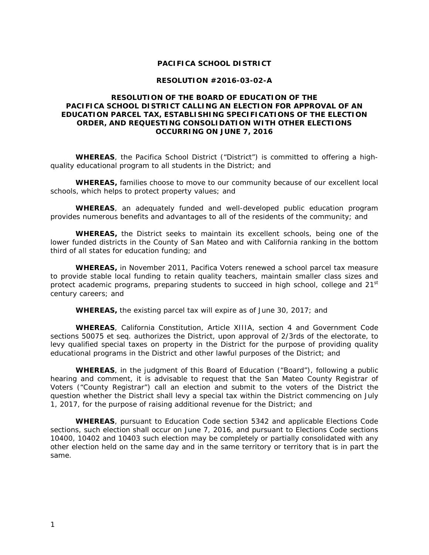### **PACIFICA SCHOOL DISTRICT**

#### **RESOLUTION #2016-03-02-A**

# **RESOLUTION OF THE BOARD OF EDUCATION OF THE PACIFICA SCHOOL DISTRICT CALLING AN ELECTION FOR APPROVAL OF AN EDUCATION PARCEL TAX, ESTABLISHING SPECIFICATIONS OF THE ELECTION ORDER, AND REQUESTING CONSOLIDATION WITH OTHER ELECTIONS OCCURRING ON JUNE 7, 2016**

**WHEREAS**, the Pacifica School District ("District") is committed to offering a highquality educational program to all students in the District; and

**WHEREAS,** families choose to move to our community because of our excellent local schools, which helps to protect property values; and

**WHEREAS**, an adequately funded and well-developed public education program provides numerous benefits and advantages to all of the residents of the community; and

**WHEREAS,** the District seeks to maintain its excellent schools, being one of the lower funded districts in the County of San Mateo and with California ranking in the bottom third of all states for education funding; and

**WHEREAS,** in November 2011, Pacifica Voters renewed a school parcel tax measure to provide stable local funding to retain quality teachers, maintain smaller class sizes and protect academic programs, preparing students to succeed in high school, college and 21<sup>st</sup> century careers; and

**WHEREAS,** the existing parcel tax will expire as of June 30, 2017; and

**WHEREAS**, California Constitution, Article XIIIA, section 4 and Government Code sections 50075 et seq. authorizes the District, upon approval of 2/3rds of the electorate, to levy qualified special taxes on property in the District for the purpose of providing quality educational programs in the District and other lawful purposes of the District; and

**WHEREAS**, in the judgment of this Board of Education ("Board"), following a public hearing and comment, it is advisable to request that the San Mateo County Registrar of Voters ("County Registrar") call an election and submit to the voters of the District the question whether the District shall levy a special tax within the District commencing on July 1, 2017, for the purpose of raising additional revenue for the District; and

**WHEREAS**, pursuant to Education Code section 5342 and applicable Elections Code sections, such election shall occur on June 7, 2016, and pursuant to Elections Code sections 10400, 10402 and 10403 such election may be completely or partially consolidated with any other election held on the same day and in the same territory or territory that is in part the same.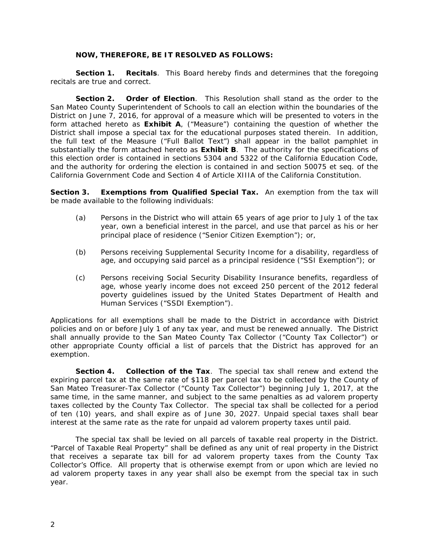#### **NOW, THEREFORE, BE IT RESOLVED AS FOLLOWS:**

**Section 1. Recitals**. This Board hereby finds and determines that the foregoing recitals are true and correct.

**Section 2. Order of Election**. This Resolution shall stand as the order to the San Mateo County Superintendent of Schools to call an election within the boundaries of the District on June 7, 2016, for approval of a measure which will be presented to voters in the form attached hereto as **Exhibit A**, ("Measure") containing the question of whether the District shall impose a special tax for the educational purposes stated therein. In addition, the full text of the Measure ("Full Ballot Text") shall appear in the ballot pamphlet in substantially the form attached hereto as **Exhibit B**. The authority for the specifications of this election order is contained in sections 5304 and 5322 of the California Education Code, and the authority for ordering the election is contained in and section 50075 et seq. of the California Government Code and Section 4 of Article XIIIA of the California Constitution.

**Section 3. Exemptions from Qualified Special Tax.** An exemption from the tax will be made available to the following individuals:

- (a) Persons in the District who will attain 65 years of age prior to July 1 of the tax year, own a beneficial interest in the parcel, and use that parcel as his or her principal place of residence ("Senior Citizen Exemption"); or,
- (b) Persons receiving Supplemental Security Income for a disability, regardless of age, and occupying said parcel as a principal residence ("SSI Exemption"); or
- (c) Persons receiving Social Security Disability Insurance benefits, regardless of age, whose yearly income does not exceed 250 percent of the 2012 federal poverty guidelines issued by the United States Department of Health and Human Services ("SSDI Exemption").

Applications for all exemptions shall be made to the District in accordance with District policies and on or before July 1 of any tax year, and must be renewed annually. The District shall annually provide to the San Mateo County Tax Collector ("County Tax Collector") or other appropriate County official a list of parcels that the District has approved for an exemption.

**Section 4. Collection of the Tax**. The special tax shall renew and extend the expiring parcel tax at the same rate of \$118 per parcel tax to be collected by the County of San Mateo Treasurer-Tax Collector ("County Tax Collector") beginning July 1, 2017, at the same time, in the same manner, and subject to the same penalties as *ad valorem* property taxes collected by the County Tax Collector. The special tax shall be collected for a period of ten (10) years, and shall expire as of June 30, 2027. Unpaid special taxes shall bear interest at the same rate as the rate for unpaid *ad valorem* property taxes until paid.

The special tax shall be levied on all parcels of taxable real property in the District. "Parcel of Taxable Real Property" shall be defined as any unit of real property in the District that receives a separate tax bill for *ad valorem* property taxes from the County Tax Collector's Office. All property that is otherwise exempt from or upon which are levied no *ad valorem* property taxes in any year shall also be exempt from the special tax in such year.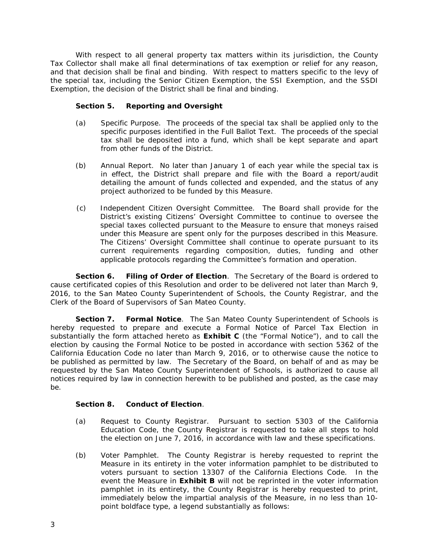With respect to all general property tax matters within its jurisdiction, the County Tax Collector shall make all final determinations of tax exemption or relief for any reason, and that decision shall be final and binding. With respect to matters specific to the levy of the special tax, including the Senior Citizen Exemption, the SSI Exemption, and the SSDI Exemption, the decision of the District shall be final and binding.

# **Section 5. Reporting and Oversight**

- (a) *Specific Purpose*. The proceeds of the special tax shall be applied only to the specific purposes identified in the Full Ballot Text. The proceeds of the special tax shall be deposited into a fund, which shall be kept separate and apart from other funds of the District.
- (b) *Annual Report*. No later than January 1 of each year while the special tax is in effect, the District shall prepare and file with the Board a report/audit detailing the amount of funds collected and expended, and the status of any project authorized to be funded by this Measure.
- (c) *Independent Citizen Oversight Committee*. The Board shall provide for the District's existing Citizens' Oversight Committee to continue to oversee the special taxes collected pursuant to the Measure to ensure that moneys raised under this Measure are spent only for the purposes described in this Measure. The Citizens' Oversight Committee shall continue to operate pursuant to its current requirements regarding composition, duties, funding and other applicable protocols regarding the Committee's formation and operation.

**Section 6. Filing of Order of Election**. The Secretary of the Board is ordered to cause certificated copies of this Resolution and order to be delivered not later than March 9, 2016, to the San Mateo County Superintendent of Schools, the County Registrar, and the Clerk of the Board of Supervisors of San Mateo County.

**Section 7. Formal Notice**. The San Mateo County Superintendent of Schools is hereby requested to prepare and execute a Formal Notice of Parcel Tax Election in substantially the form attached hereto as **Exhibit C** (the "Formal Notice"), and to call the election by causing the Formal Notice to be posted in accordance with section 5362 of the California Education Code no later than March 9, 2016, or to otherwise cause the notice to be published as permitted by law. The Secretary of the Board, on behalf of and as may be requested by the San Mateo County Superintendent of Schools, is authorized to cause all notices required by law in connection herewith to be published and posted, as the case may be.

# **Section 8. Conduct of Election**.

- (a) *Request to County Registrar*. Pursuant to section 5303 of the California Education Code, the County Registrar is requested to take all steps to hold the election on June 7, 2016, in accordance with law and these specifications.
- (b) *Voter Pamphlet*. The County Registrar is hereby requested to reprint the Measure in its entirety in the voter information pamphlet to be distributed to voters pursuant to section 13307 of the California Elections Code. In the event the Measure in **Exhibit B** will not be reprinted in the voter information pamphlet in its entirety, the County Registrar is hereby requested to print, immediately below the impartial analysis of the Measure, in no less than 10 point boldface type, a legend substantially as follows: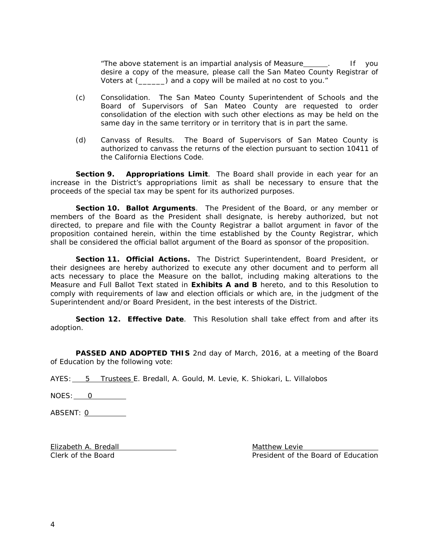"The above statement is an impartial analysis of Measure\_\_\_\_\_\_. If you desire a copy of the measure, please call the San Mateo County Registrar of Voters at (\_\_\_\_\_\_) and a copy will be mailed at no cost to you."

- (c) *Consolidation*. The San Mateo County Superintendent of Schools and the Board of Supervisors of San Mateo County are requested to order consolidation of the election with such other elections as may be held on the same day in the same territory or in territory that is in part the same.
- (d) *Canvass of Results*. The Board of Supervisors of San Mateo County is authorized to canvass the returns of the election pursuant to section 10411 of the California Elections Code.

**Section 9.** Appropriations Limit. The Board shall provide in each year for an increase in the District's appropriations limit as shall be necessary to ensure that the proceeds of the special tax may be spent for its authorized purposes.

**Section 10. Ballot Arguments**. The President of the Board, or any member or members of the Board as the President shall designate, is hereby authorized, but not directed, to prepare and file with the County Registrar a ballot argument in favor of the proposition contained herein, within the time established by the County Registrar, which shall be considered the official ballot argument of the Board as sponsor of the proposition.

**Section 11. Official Actions.** The District Superintendent, Board President, or their designees are hereby authorized to execute any other document and to perform all acts necessary to place the Measure on the ballot, including making alterations to the Measure and Full Ballot Text stated in **Exhibits A and B** hereto, and to this Resolution to comply with requirements of law and election officials or which are, in the judgment of the Superintendent and/or Board President, in the best interests of the District.

**Section 12. Effective Date**. This Resolution shall take effect from and after its adoption.

**PASSED AND ADOPTED THIS** 2nd day of March, 2016, at a meeting of the Board of Education by the following vote:

AYES: 5 Trustees E. Bredall, A. Gould, M. Levie, K. Shiokari, L. Villalobos

NOES: 0

ABSENT: 0

Elizabeth A. Bredall **Matthew Levie Matthew Levie** 

Clerk of the Board President of the Board of Education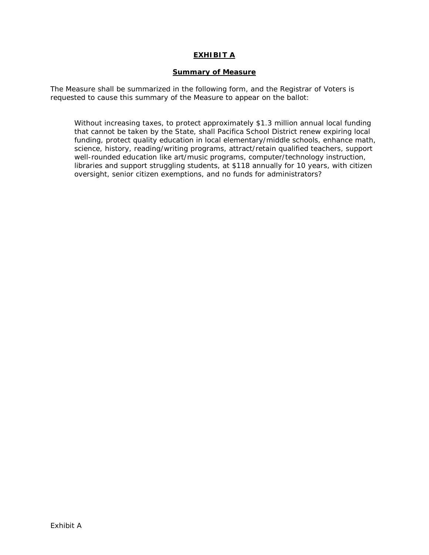# **EXHIBIT A**

### **Summary of Measure**

The Measure shall be summarized in the following form, and the Registrar of Voters is requested to cause this summary of the Measure to appear on the ballot:

Without increasing taxes, to protect approximately \$1.3 million annual local funding that cannot be taken by the State, shall Pacifica School District renew expiring local funding, protect quality education in local elementary/middle schools, enhance math, science, history, reading/writing programs, attract/retain qualified teachers, support well-rounded education like art/music programs, computer/technology instruction, libraries and support struggling students, at \$118 annually for 10 years, with citizen oversight, senior citizen exemptions, and no funds for administrators?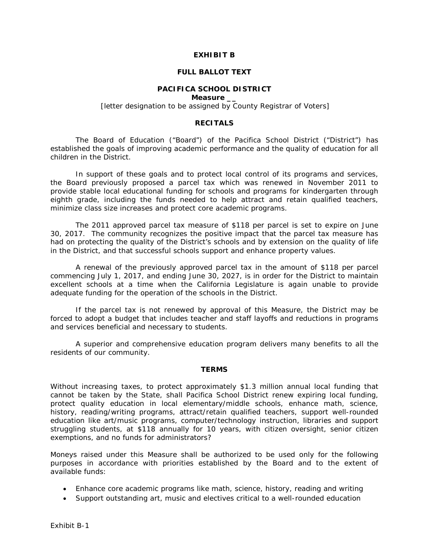### **EXHIBIT B**

#### **FULL BALLOT TEXT**

# **PACIFICA SCHOOL DISTRICT**

**Measure \_\_**

*[letter designation to be assigned by County Registrar of Voters]*

### **RECITALS**

The Board of Education ("Board") of the Pacifica School District ("District") has established the goals of improving academic performance and the quality of education for all children in the District.

In support of these goals and to protect local control of its programs and services, the Board previously proposed a parcel tax which was renewed in November 2011 to provide stable local educational funding for schools and programs for kindergarten through eighth grade, including the funds needed to help attract and retain qualified teachers, minimize class size increases and protect core academic programs.

The 2011 approved parcel tax measure of \$118 per parcel is set to expire on June 30, 2017. The community recognizes the positive impact that the parcel tax measure has had on protecting the quality of the District's schools and by extension on the quality of life in the District, and that successful schools support and enhance property values.

A renewal of the previously approved parcel tax in the amount of \$118 per parcel commencing July 1, 2017, and ending June 30, 2027, is in order for the District to maintain excellent schools at a time when the California Legislature is again unable to provide adequate funding for the operation of the schools in the District.

If the parcel tax is not renewed by approval of this Measure, the District may be forced to adopt a budget that includes teacher and staff layoffs and reductions in programs and services beneficial and necessary to students.

A superior and comprehensive education program delivers many benefits to all the residents of our community.

#### **TERMS**

Without increasing taxes, to protect approximately \$1.3 million annual local funding that cannot be taken by the State, shall Pacifica School District renew expiring local funding, protect quality education in local elementary/middle schools, enhance math, science, history, reading/writing programs, attract/retain qualified teachers, support well-rounded education like art/music programs, computer/technology instruction, libraries and support struggling students, at \$118 annually for 10 years, with citizen oversight, senior citizen exemptions, and no funds for administrators?

Moneys raised under this Measure shall be authorized to be used only for the following purposes in accordance with priorities established by the Board and to the extent of available funds:

- Enhance core academic programs like math, science, history, reading and writing
- Support outstanding art, music and electives critical to a well-rounded education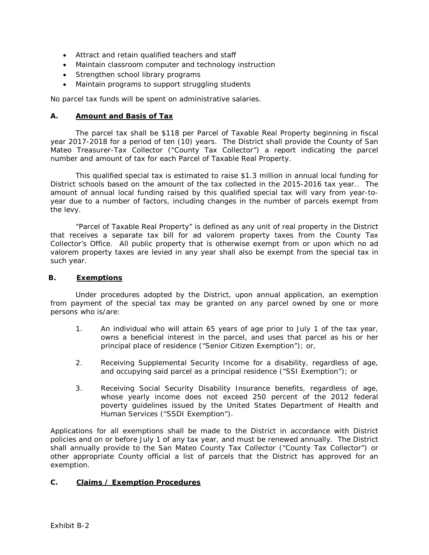- Attract and retain qualified teachers and staff
- Maintain classroom computer and technology instruction
- Strengthen school library programs
- Maintain programs to support struggling students

No parcel tax funds will be spent on administrative salaries.

# **A. Amount and Basis of Tax**

The parcel tax shall be \$118 per Parcel of Taxable Real Property beginning in fiscal year 2017-2018 for a period of ten (10) years. The District shall provide the County of San Mateo Treasurer-Tax Collector ("County Tax Collector") a report indicating the parcel number and amount of tax for each Parcel of Taxable Real Property.

This qualified special tax is estimated to raise \$1.3 million in annual local funding for District schools based on the amount of the tax collected in the 2015-2016 tax year.. The amount of annual local funding raised by this qualified special tax will vary from year-toyear due to a number of factors, including changes in the number of parcels exempt from the levy.

"Parcel of Taxable Real Property" is defined as any unit of real property in the District that receives a separate tax bill for *ad valorem* property taxes from the County Tax Collector's Office. All public property that is otherwise exempt from or upon which no *ad valorem* property taxes are levied in any year shall also be exempt from the special tax in such year.

# **B. Exemptions**

Under procedures adopted by the District, upon annual application, an exemption from payment of the special tax may be granted on any parcel owned by one or more persons who is/are:

- 1. An individual who will attain 65 years of age prior to July 1 of the tax year, owns a beneficial interest in the parcel, and uses that parcel as his or her principal place of residence ("Senior Citizen Exemption"); or,
- 2. Receiving Supplemental Security Income for a disability, regardless of age, and occupying said parcel as a principal residence ("SSI Exemption"); or
- 3. Receiving Social Security Disability Insurance benefits, regardless of age, whose yearly income does not exceed 250 percent of the 2012 federal poverty guidelines issued by the United States Department of Health and Human Services ("SSDI Exemption").

Applications for all exemptions shall be made to the District in accordance with District policies and on or before July 1 of any tax year, and must be renewed annually. The District shall annually provide to the San Mateo County Tax Collector ("County Tax Collector") or other appropriate County official a list of parcels that the District has approved for an exemption.

# **C. Claims / Exemption Procedures**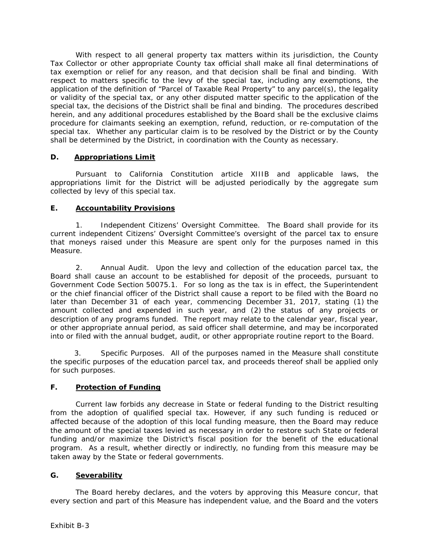With respect to all general property tax matters within its jurisdiction, the County Tax Collector or other appropriate County tax official shall make all final determinations of tax exemption or relief for any reason, and that decision shall be final and binding. With respect to matters specific to the levy of the special tax, including any exemptions, the application of the definition of "Parcel of Taxable Real Property" to any parcel(s), the legality or validity of the special tax, or any other disputed matter specific to the application of the special tax, the decisions of the District shall be final and binding. The procedures described herein, and any additional procedures established by the Board shall be the exclusive claims procedure for claimants seeking an exemption, refund, reduction, or re-computation of the special tax. Whether any particular claim is to be resolved by the District or by the County shall be determined by the District, in coordination with the County as necessary.

# **D. Appropriations Limit**

Pursuant to California Constitution article XIIIB and applicable laws, the appropriations limit for the District will be adjusted periodically by the aggregate sum collected by levy of this special tax.

# **E. Accountability Provisions**

1. *Independent Citizens' Oversight Committee*. The Board shall provide for its current independent Citizens' Oversight Committee's oversight of the parcel tax to ensure that moneys raised under this Measure are spent only for the purposes named in this Measure.

2. *Annual Audit.* Upon the levy and collection of the education parcel tax, the Board shall cause an account to be established for deposit of the proceeds, pursuant to Government Code Section 50075.1. For so long as the tax is in effect, the Superintendent or the chief financial officer of the District shall cause a report to be filed with the Board no later than December 31 of each year, commencing December 31, 2017, stating (1) the amount collected and expended in such year, and (2) the status of any projects or description of any programs funded. The report may relate to the calendar year, fiscal year, or other appropriate annual period, as said officer shall determine, and may be incorporated into or filed with the annual budget, audit, or other appropriate routine report to the Board.

3. *Specific Purposes*. All of the purposes named in the Measure shall constitute the specific purposes of the education parcel tax, and proceeds thereof shall be applied only for such purposes.

# **F. Protection of Funding**

Current law forbids any decrease in State or federal funding to the District resulting from the adoption of qualified special tax. However, if any such funding is reduced or affected because of the adoption of this local funding measure, then the Board may reduce the amount of the special taxes levied as necessary in order to restore such State or federal funding and/or maximize the District's fiscal position for the benefit of the educational program. As a result, whether directly or indirectly, no funding from this measure may be taken away by the State or federal governments.

# **G. Severability**

The Board hereby declares, and the voters by approving this Measure concur, that every section and part of this Measure has independent value, and the Board and the voters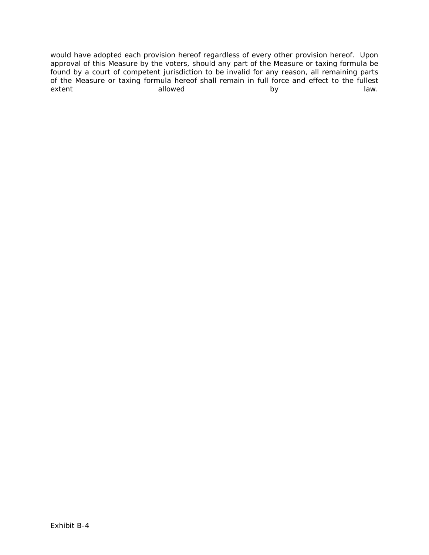would have adopted each provision hereof regardless of every other provision hereof. Upon approval of this Measure by the voters, should any part of the Measure or taxing formula be found by a court of competent jurisdiction to be invalid for any reason, all remaining parts of the Measure or taxing formula hereof shall remain in full force and effect to the fullest extent allowed by law. I aw.